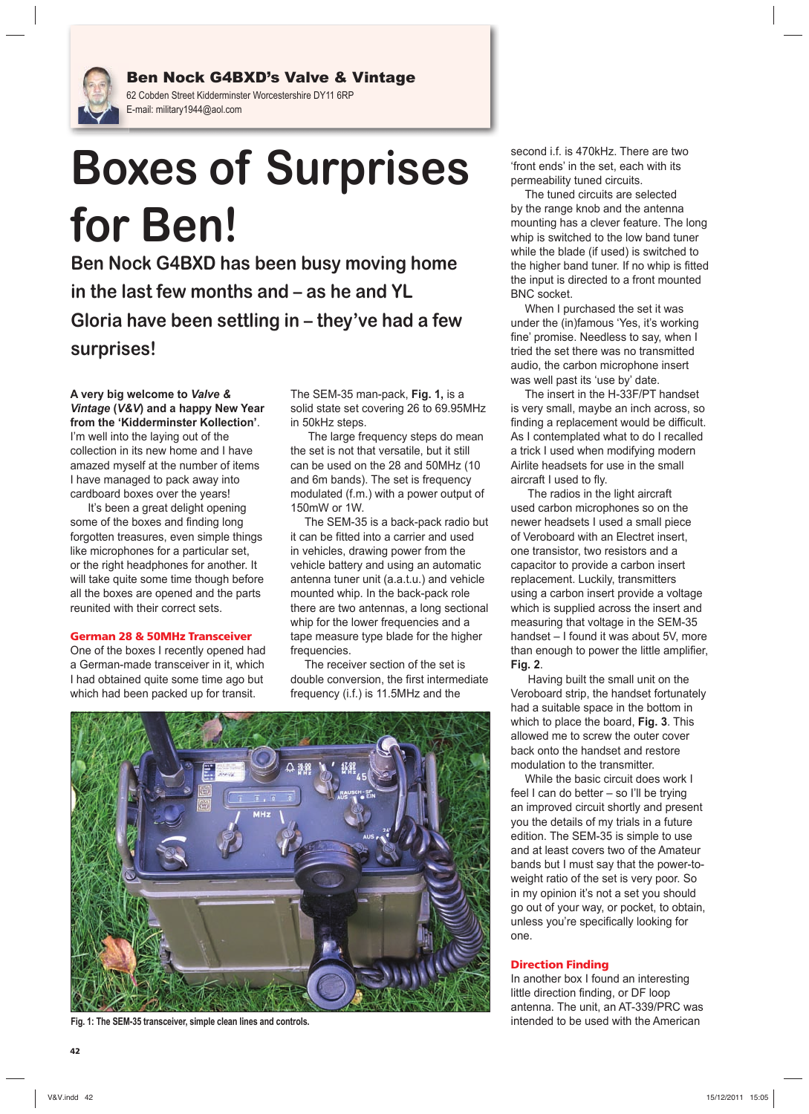

Ben Nock G4BXD's Valve & Vintage 62 Cobden Street Kidderminster Worcestershire DY11 6RP E-mail: military1944@aol.com

# **Boxes of Surprises for Ben!**

**Ben Nock G4BXD has been busy moving home in the last few months and – as he and YL Gloria have been settling in – they've had a few surprises!**

### **A very big welcome to** *Valve & Vintage* **(***V&V***) and a happy New Year from the 'Kidderminster Kollection'**.

I'm well into the laying out of the collection in its new home and I have amazed myself at the number of items I have managed to pack away into cardboard boxes over the years!

It's been a great delight opening some of the boxes and finding long forgotten treasures, even simple things like microphones for a particular set, or the right headphones for another. It will take quite some time though before all the boxes are opened and the parts reunited with their correct sets.

# **German 28 & 50MHz Transceiver**

One of the boxes I recently opened had a German-made transceiver in it, which I had obtained quite some time ago but which had been packed up for transit.

The SEM-35 man-pack, **Fig. 1,** is a solid state set covering 26 to 69.95MHz in 50kHz steps.

The large frequency steps do mean the set is not that versatile, but it still can be used on the 28 and 50MHz (10 and 6m bands). The set is frequency modulated (f.m.) with a power output of 150mW or 1W.

The SEM-35 is a back-pack radio but it can be fitted into a carrier and used in vehicles, drawing power from the vehicle battery and using an automatic antenna tuner unit (a.a.t.u.) and vehicle mounted whip. In the back-pack role there are two antennas, a long sectional whip for the lower frequencies and a tape measure type blade for the higher frequencies.

The receiver section of the set is double conversion, the first intermediate frequency (i.f.) is 11.5MHz and the



**Fig. 1: The SEM-35 transceiver, simple clean lines and controls.** 

second i.f. is 470kHz. There are two 'front ends' in the set, each with its permeability tuned circuits.

The tuned circuits are selected by the range knob and the antenna mounting has a clever feature. The long whip is switched to the low band tuner while the blade (if used) is switched to the higher band tuner. If no whip is fitted the input is directed to a front mounted BNC socket.

When I purchased the set it was under the (in)famous 'Yes, it's working fine' promise. Needless to say, when I tried the set there was no transmitted audio, the carbon microphone insert was well past its 'use by' date.

The insert in the H-33F/PT handset is very small, maybe an inch across, so finding a replacement would be difficult. As I contemplated what to do I recalled a trick I used when modifying modern Airlite headsets for use in the small aircraft I used to fly.

 The radios in the light aircraft used carbon microphones so on the newer headsets I used a small piece of Veroboard with an Electret insert, one transistor, two resistors and a capacitor to provide a carbon insert replacement. Luckily, transmitters using a carbon insert provide a voltage which is supplied across the insert and measuring that voltage in the SEM-35 handset – I found it was about 5V, more than enough to power the little amplifier, **Fig. 2**.

 Having built the small unit on the Veroboard strip, the handset fortunately had a suitable space in the bottom in which to place the board, **Fig. 3**. This allowed me to screw the outer cover back onto the handset and restore modulation to the transmitter.

While the basic circuit does work I feel I can do better – so I'll be trying an improved circuit shortly and present you the details of my trials in a future edition. The SEM-35 is simple to use and at least covers two of the Amateur bands but I must say that the power-toweight ratio of the set is very poor. So in my opinion it's not a set you should go out of your way, or pocket, to obtain, unless you're specifically looking for one.

# **Direction Finding**

In another box I found an interesting little direction finding, or DF loop antenna. The unit, an AT-339/PRC was intended to be used with the American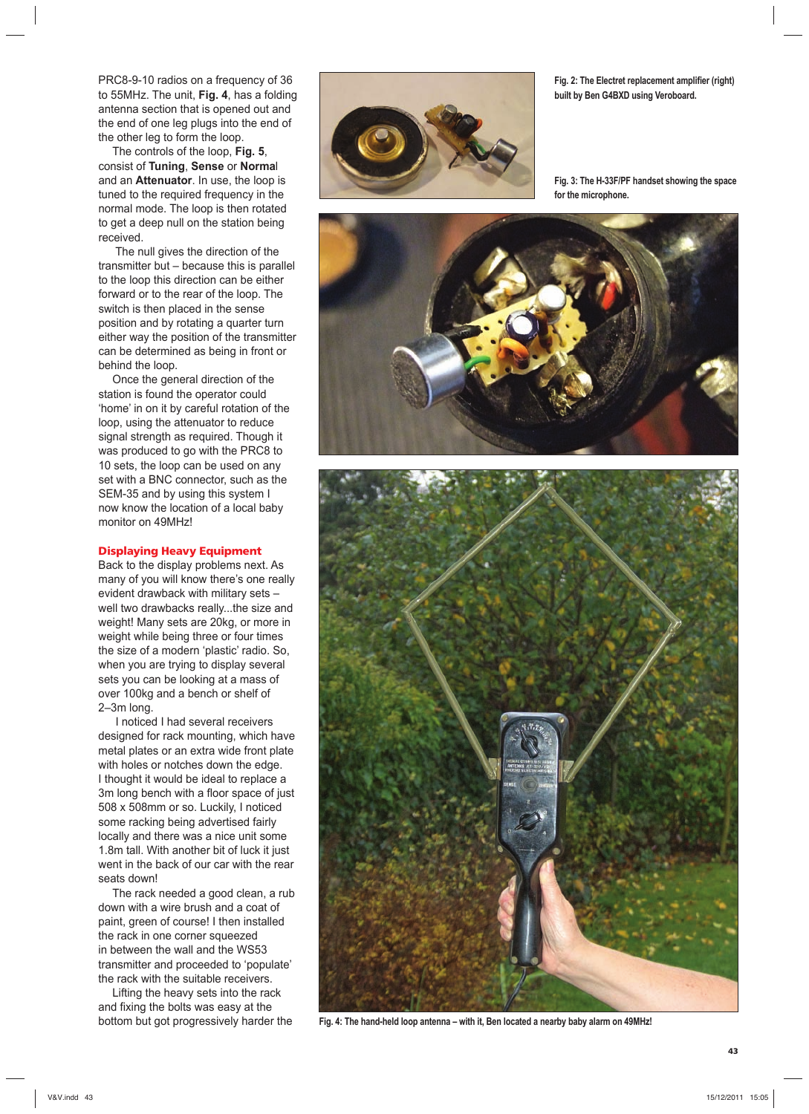PRC8-9-10 radios on a frequency of 36 to 55MHz. The unit, **Fig. 4**, has a folding antenna section that is opened out and the end of one leg plugs into the end of the other leg to form the loop.

The controls of the loop, **Fig. 5**, consist of **Tuning**, **Sense** or **Norma**l and an **Attenuator**. In use, the loop is tuned to the required frequency in the normal mode. The loop is then rotated to get a deep null on the station being received.

 The null gives the direction of the transmitter but – because this is parallel to the loop this direction can be either forward or to the rear of the loop. The switch is then placed in the sense position and by rotating a quarter turn either way the position of the transmitter can be determined as being in front or behind the loop.

Once the general direction of the station is found the operator could 'home' in on it by careful rotation of the loop, using the attenuator to reduce signal strength as required. Though it was produced to go with the PRC8 to 10 sets, the loop can be used on any set with a BNC connector, such as the SEM-35 and by using this system I now know the location of a local baby monitor on 49MHz!

### **Displaying Heavy Equipment**

Back to the display problems next. As many of you will know there's one really evident drawback with military sets – well two drawbacks really...the size and weight! Many sets are 20kg, or more in weight while being three or four times the size of a modern 'plastic' radio. So, when you are trying to display several sets you can be looking at a mass of over 100kg and a bench or shelf of 2–3m long.

 I noticed I had several receivers designed for rack mounting, which have metal plates or an extra wide front plate with holes or notches down the edge. I thought it would be ideal to replace a 3m long bench with a floor space of just 508 x 508mm or so. Luckily, I noticed some racking being advertised fairly locally and there was a nice unit some 1.8m tall. With another bit of luck it just went in the back of our car with the rear seats down!

The rack needed a good clean, a rub down with a wire brush and a coat of paint, green of course! I then installed the rack in one corner squeezed in between the wall and the WS53 transmitter and proceeded to 'populate' the rack with the suitable receivers.

Lifting the heavy sets into the rack and fixing the bolts was easy at the bottom but got progressively harder the



**Fig. 2: The Electret replacement amplifier (right) built by Ben G4BXD using Veroboard.**

**Fig. 3: The H-33F/PF handset showing the space for the microphone.**





**Fig. 4: The hand-held loop antenna – with it, Ben located a nearby baby alarm on 49MHz!**